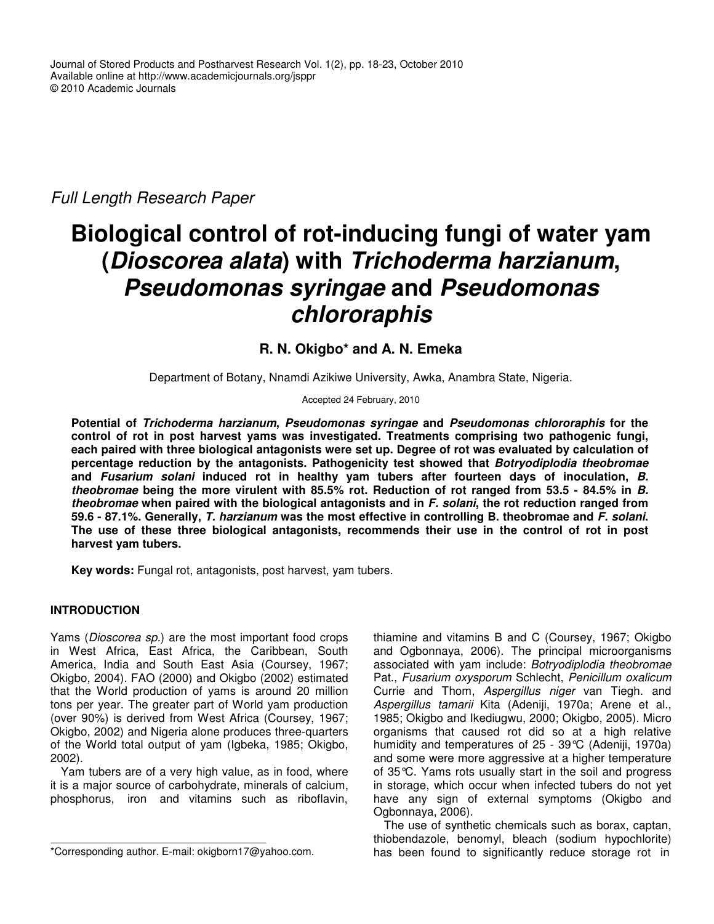*Full Length Research Paper*

# **Biological control of rot-inducing fungi of water yam (***Dioscorea alata***) with** *Trichoderma harzianum***,** *Pseudomonas syringae* **and** *Pseudomonas chlororaphis*

# **R. N. Okigbo\* and A. N. Emeka**

Department of Botany, Nnamdi Azikiwe University, Awka, Anambra State, Nigeria.

Accepted 24 February, 2010

**Potential of** *Trichoderma harzianum***,** *Pseudomonas syringae* **and** *Pseudomonas chlororaphis* **for the control of rot in post harvest yams was investigated. Treatments comprising two pathogenic fungi, each paired with three biological antagonists were set up. Degree of rot was evaluated by calculation of percentage reduction by the antagonists. Pathogenicity test showed that** *Botryodiplodia theobromae* **and** *Fusarium solani* **induced rot in healthy yam tubers after fourteen days of inoculation,** *B. theobromae* **being the more virulent with 85.5% rot. Reduction of rot ranged from 53.5 - 84.5% in** *B. theobromae* **when paired with the biological antagonists and in** *F. solani***, the rot reduction ranged from** 59.6 - 87.1%. Generally, T. harzianum was the most effective in controlling B. theobromae and F. solani. **The use of these three biological antagonists, recommends their use in the control of rot in post harvest yam tubers.**

**Key words:** Fungal rot, antagonists, post harvest, yam tubers.

# **INTRODUCTION**

Yams (*Dioscorea sp.*) are the most important food crops in West Africa, East Africa, the Caribbean, South America, India and South East Asia (Coursey, 1967; Okigbo, 2004). FAO (2000) and Okigbo (2002) estimated that the World production of yams is around 20 million tons per year. The greater part of World yam production (over 90%) is derived from West Africa (Coursey, 1967; Okigbo, 2002) and Nigeria alone produces three-quarters of the World total output of yam (Igbeka, 1985; Okigbo, 2002).

Yam tubers are of a very high value, as in food, where it is a major source of carbohydrate, minerals of calcium, phosphorus, iron and vitamins such as riboflavin,

thiamine and vitamins B and C (Coursey, 1967; Okigbo and Ogbonnaya, 2006). The principal microorganisms associated with yam include: *Botryodiplodia theobromae* Pat., *Fusarium oxysporum* Schlecht, *Penicillum oxalicum* Currie and Thom, *Aspergillus niger* van Tiegh. and *Aspergillus tamarii* Kita (Adeniji, 1970a; Arene et al., 1985; Okigbo and Ikediugwu, 2000; Okigbo, 2005). Micro organisms that caused rot did so at a high relative humidity and temperatures of 25 - 39°C (Adeniji, 1970a) and some were more aggressive at a higher temperature of 35°C. Yams rots usually start in the soil and progress in storage, which occur when infected tubers do not yet have any sign of external symptoms (Okigbo and Ogbonnaya, 2006).

The use of synthetic chemicals such as borax, captan, thiobendazole, benomyl, bleach (sodium hypochlorite) has been found to significantly reduce storage rot in

<sup>\*</sup>Corresponding author. E-mail: okigborn17@yahoo.com.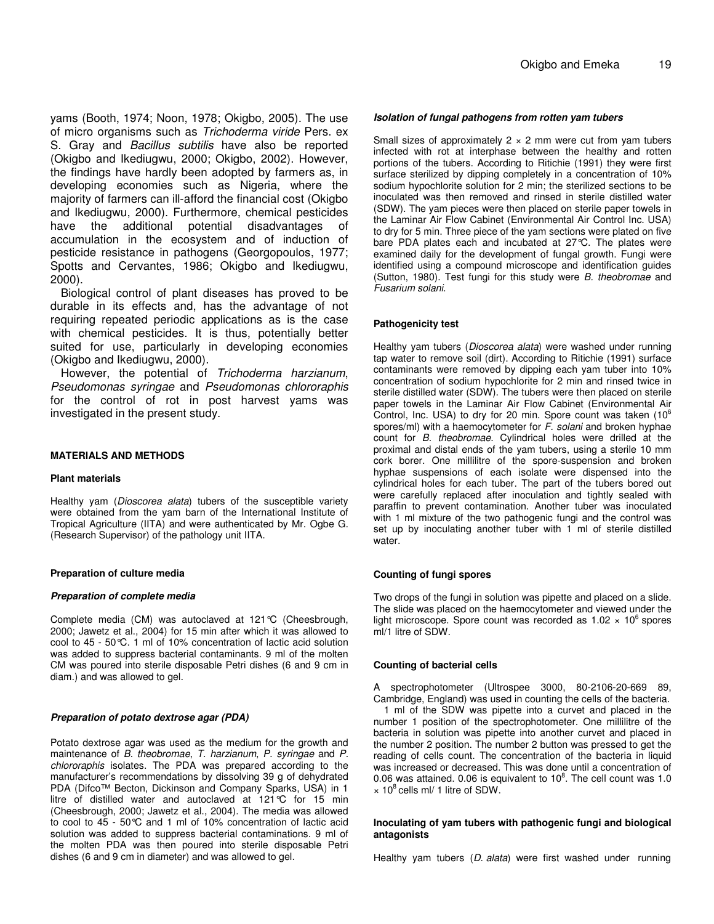yams (Booth, 1974; Noon, 1978; Okigbo, 2005). The use of micro organisms such as *Trichoderma viride* Pers. ex S. Gray and *Bacillus subtilis* have also be reported (Okigbo and Ikediugwu, 2000; Okigbo, 2002). However, the findings have hardly been adopted by farmers as, in developing economies such as Nigeria, where the majority of farmers can ill-afford the financial cost (Okigbo and Ikediugwu, 2000). Furthermore, chemical pesticides have the additional potential disadvantages of accumulation in the ecosystem and of induction of pesticide resistance in pathogens (Georgopoulos, 1977; Spotts and Cervantes, 1986; Okigbo and Ikediugwu, 2000).

Biological control of plant diseases has proved to be durable in its effects and, has the advantage of not requiring repeated periodic applications as is the case with chemical pesticides. It is thus, potentially better suited for use, particularly in developing economies (Okigbo and Ikediugwu, 2000).

However, the potential of *Trichoderma harzianum*, *Pseudomonas syringae* and *Pseudomonas chlororaphis* for the control of rot in post harvest yams was investigated in the present study.

#### **MATERIALS AND METHODS**

#### **Plant materials**

Healthy yam (*Dioscorea alata*) tubers of the susceptible variety were obtained from the yam barn of the International Institute of Tropical Agriculture (IITA) and were authenticated by Mr. Ogbe G. (Research Supervisor) of the pathology unit IITA.

#### **Preparation of culture media**

#### *Preparation of complete media*

Complete media (CM) was autoclaved at 121°C (Cheesbrough, 2000; Jawetz et al., 2004) for 15 min after which it was allowed to cool to 45 - 50°C. 1 ml of 10% concentration of lactic acid solution was added to suppress bacterial contaminants. 9 ml of the molten CM was poured into sterile disposable Petri dishes (6 and 9 cm in diam.) and was allowed to gel.

#### *Preparation of potato dextrose agar (PDA)*

Potato dextrose agar was used as the medium for the growth and maintenance of *B. theobromae*, *T. harzianum*, *P. syringae* and *P. chlororaphis* isolates. The PDA was prepared according to the manufacturer's recommendations by dissolving 39 g of dehydrated PDA (Difco™ Becton, Dickinson and Company Sparks, USA) in 1 litre of distilled water and autoclaved at 121°C for 15 min (Cheesbrough, 2000; Jawetz et al., 2004). The media was allowed to cool to 45 - 50°C and 1 ml of 10% concentration of lactic acid solution was added to suppress bacterial contaminations. 9 ml of the molten PDA was then poured into sterile disposable Petri dishes (6 and 9 cm in diameter) and was allowed to gel.

#### *Isolation of fungal pathogens from rotten yam tubers*

Small sizes of approximately  $2 \times 2$  mm were cut from yam tubers infected with rot at interphase between the healthy and rotten portions of the tubers. According to Ritichie (1991) they were first surface sterilized by dipping completely in a concentration of 10% sodium hypochlorite solution for 2 min; the sterilized sections to be inoculated was then removed and rinsed in sterile distilled water (SDW). The yam pieces were then placed on sterile paper towels in the Laminar Air Flow Cabinet (Environmental Air Control Inc. USA) to dry for 5 min. Three piece of the yam sections were plated on five bare PDA plates each and incubated at 27°C. The plates were examined daily for the development of fungal growth. Fungi were identified using a compound microscope and identification guides (Sutton, 1980). Test fungi for this study were *B. theobromae* and *Fusarium solani*.

#### **Pathogenicity test**

Healthy yam tubers (*Dioscorea alata*) were washed under running tap water to remove soil (dirt). According to Ritichie (1991) surface contaminants were removed by dipping each yam tuber into 10% concentration of sodium hypochlorite for 2 min and rinsed twice in sterile distilled water (SDW). The tubers were then placed on sterile paper towels in the Laminar Air Flow Cabinet (Environmental Air Control, Inc. USA) to dry for 20 min. Spore count was taken  $(10^6$ spores/ml) with a haemocytometer for *F. solani* and broken hyphae count for *B. theobromae*. Cylindrical holes were drilled at the proximal and distal ends of the yam tubers, using a sterile 10 mm cork borer. One millilitre of the spore-suspension and broken hyphae suspensions of each isolate were dispensed into the cylindrical holes for each tuber. The part of the tubers bored out were carefully replaced after inoculation and tightly sealed with paraffin to prevent contamination. Another tuber was inoculated with 1 ml mixture of the two pathogenic fungi and the control was set up by inoculating another tuber with 1 ml of sterile distilled water.

#### **Counting of fungi spores**

Two drops of the fungi in solution was pipette and placed on a slide. The slide was placed on the haemocytometer and viewed under the light microscope. Spore count was recorded as  $1.02 \times 10^6$  spores ml/1 litre of SDW.

#### **Counting of bacterial cells**

A spectrophotometer (Ultrospee 3000, 80-2106-20-669 89, Cambridge, England) was used in counting the cells of the bacteria. 1 ml of the SDW was pipette into a curvet and placed in the number 1 position of the spectrophotometer. One millilitre of the bacteria in solution was pipette into another curvet and placed in the number 2 position. The number 2 button was pressed to get the reading of cells count. The concentration of the bacteria in liquid was increased or decreased. This was done until a concentration of 0.06 was attained. 0.06 is equivalent to  $10^8$ . The cell count was 1.0 × 10 8 cells ml/ 1 litre of SDW.

#### **Inoculating of yam tubers with pathogenic fungi and biological antagonists**

Healthy yam tubers (*D. alata*) were first washed under running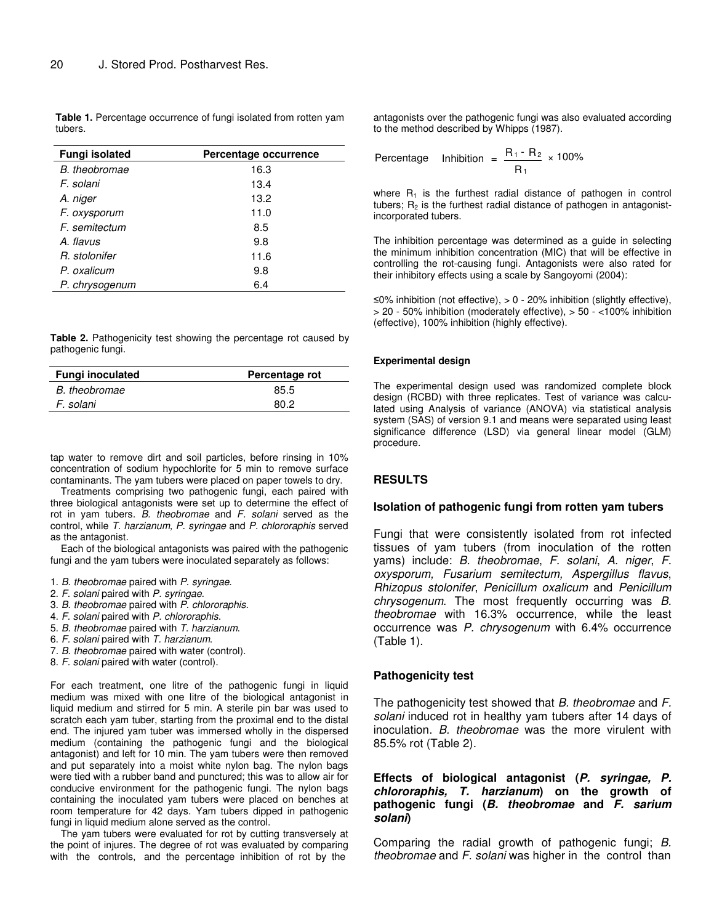**Table 1.** Percentage occurrence of fungi isolated from rotten yam tubers.

| <b>Fungi isolated</b> | Percentage occurrence |
|-----------------------|-----------------------|
| B. theobromae         | 16.3                  |
| F. solani             | 13.4                  |
| A. niger              | 13.2                  |
| F. oxysporum          | 11.0                  |
| F. semitectum         | 8.5                   |
| A flavus              | 9.8                   |
| R. stolonifer         | 11.6                  |
| P. oxalicum           | 9.8                   |
| P. chrysogenum        | 6.4                   |

**Table 2.** Pathogenicity test showing the percentage rot caused by pathogenic fungi.

| <b>Fungi inoculated</b> | Percentage rot |
|-------------------------|----------------|
| B. theobromae           | 85.5           |
| F. solani               | 80 2           |
|                         |                |

tap water to remove dirt and soil particles, before rinsing in 10% concentration of sodium hypochlorite for 5 min to remove surface contaminants. The yam tubers were placed on paper towels to dry.

Treatments comprising two pathogenic fungi, each paired with three biological antagonists were set up to determine the effect of rot in yam tubers. *B. theobromae* and *F. solani* served as the control, while *T. harzianum, P. syringae* and *P. chlororaphis* served as the antagonist.

Each of the biological antagonists was paired with the pathogenic fungi and the yam tubers were inoculated separately as follows:

- 1. *B. theobromae* paired with *P. syringae*.
- 2. *F. solani* paired with *P. syringae*.
- 3. *B. theobromae* paired with *P. chlororaphis*.
- 4. *F. solani* paired with *P. chlororaphis*.
- 5. *B. theobromae* paired with *T. harzianum*.
- 6. *F. solani* paired with *T. harzianum*.
- 7*. B. theobromae* paired with water (control).
- 8. *F. solani* paired with water (control).

For each treatment, one litre of the pathogenic fungi in liquid medium was mixed with one litre of the biological antagonist in liquid medium and stirred for 5 min. A sterile pin bar was used to scratch each yam tuber, starting from the proximal end to the distal end. The injured yam tuber was immersed wholly in the dispersed medium (containing the pathogenic fungi and the biological antagonist) and left for 10 min. The yam tubers were then removed and put separately into a moist white nylon bag. The nylon bags were tied with a rubber band and punctured; this was to allow air for conducive environment for the pathogenic fungi. The nylon bags containing the inoculated yam tubers were placed on benches at room temperature for 42 days. Yam tubers dipped in pathogenic fungi in liquid medium alone served as the control.

The yam tubers were evaluated for rot by cutting transversely at the point of injures. The degree of rot was evaluated by comparing with the controls, and the percentage inhibition of rot by the

antagonists over the pathogenic fungi was also evaluated according to the method described by Whipps (1987).

Percentage Inhibition = 
$$
\frac{R_1 - R_2}{R_1} \times 100\%
$$

where  $R_1$  is the furthest radial distance of pathogen in control tubers;  $R<sub>2</sub>$  is the furthest radial distance of pathogen in antagonistincorporated tubers.

The inhibition percentage was determined as a guide in selecting the minimum inhibition concentration (MIC) that will be effective in controlling the rot-causing fungi. Antagonists were also rated for their inhibitory effects using a scale by Sangoyomi (2004):

≤0% inhibition (not effective), > 0 - 20% inhibition (slightly effective), > 20 - 50% inhibition (moderately effective), > 50 - <100% inhibition (effective), 100% inhibition (highly effective).

#### **Experimental design**

The experimental design used was randomized complete block design (RCBD) with three replicates. Test of variance was calculated using Analysis of variance (ANOVA) via statistical analysis system (SAS) of version 9.1 and means were separated using least significance difference (LSD) via general linear model (GLM) procedure.

### **RESULTS**

#### **Isolation of pathogenic fungi from rotten yam tubers**

Fungi that were consistently isolated from rot infected tissues of yam tubers (from inoculation of the rotten yams) include: *B. theobromae*, *F. solani*, *A. niger*, *F. oxysporum, Fusarium semitectum, Aspergillus flavus*, *Rhizopus stolonifer*, *Penicillum oxalicum* and *Penicillum chrysogenum*. The most frequently occurring was *B. theobromae* with 16.3% occurrence, while the least occurrence was *P. chrysogenum* with 6.4% occurrence (Table 1).

#### **Pathogenicity test**

The pathogenicity test showed that *B. theobromae* and *F. solani* induced rot in healthy yam tubers after 14 days of inoculation. *B. theobromae* was the more virulent with 85.5% rot (Table 2).

## **Effects of biological antagonist (***P. syringae, P. chlororaphis, T. harzianum***) on the growth of pathogenic fungi (***B. theobromae* **and** *F. sarium solani***)**

Comparing the radial growth of pathogenic fungi; *B. theobromae* and *F. solani* was higher in the control than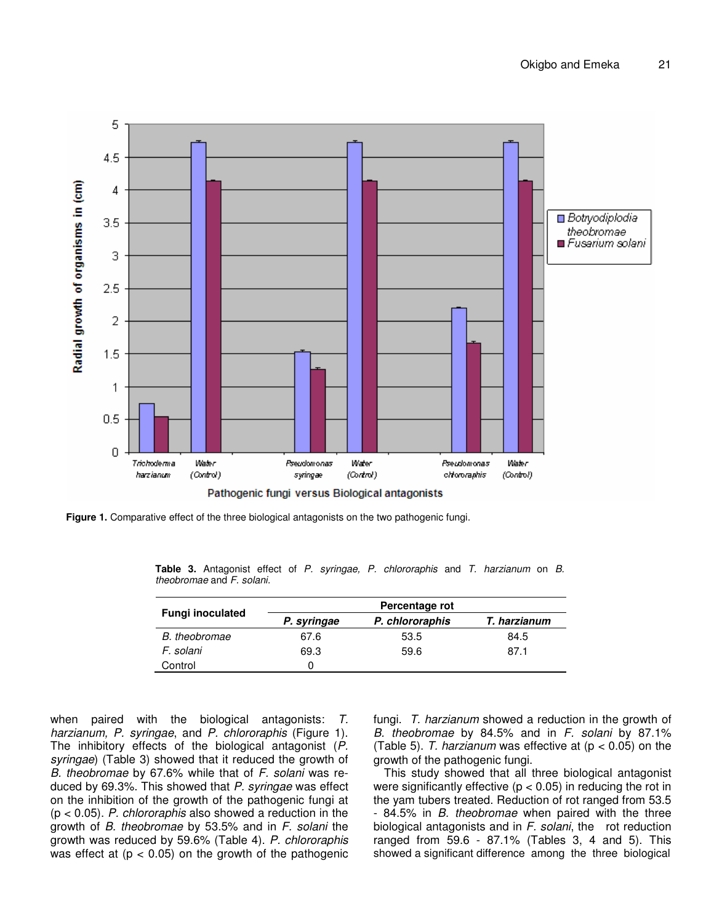

**Figure 1.** Comparative effect of the three biological antagonists on the two pathogenic fungi.

**Table 3.** Antagonist effect of *P. syringae, P. chlororaphis* and *T. harzianum* on *B. theobromae* and *F. solani.*

|                         | Percentage rot |                 |              |  |
|-------------------------|----------------|-----------------|--------------|--|
| <b>Fungi inoculated</b> | P. syringae    | P. chlororaphis | T. harzianum |  |
| B. theobromae           | 67.6           | 53.5            | 84.5         |  |
| F. solani               | 69.3           | 59.6            | 87.1         |  |
| Control                 | $\Omega$       |                 |              |  |

when paired with the biological antagonists: *T. harzianum, P. syringae*, and *P. chlororaphis* (Figure 1). The inhibitory effects of the biological antagonist (*P. syringae*) (Table 3) showed that it reduced the growth of *B. theobromae* by 67.6% while that of *F. solani* was reduced by 69.3%. This showed that *P. syringae* was effect on the inhibition of the growth of the pathogenic fungi at (p < 0.05). *P. chlororaphis* also showed a reduction in the growth of *B. theobromae* by 53.5% and in *F. solani* the growth was reduced by 59.6% (Table 4). *P. chlororaphis* was effect at  $(p < 0.05)$  on the growth of the pathogenic

fungi. *T. harzianum* showed a reduction in the growth of *B. theobromae* by 84.5% and in *F. solani* by 87.1% (Table 5). *T. harzianum* was effective at (p < 0.05) on the growth of the pathogenic fungi.

This study showed that all three biological antagonist were significantly effective ( $p < 0.05$ ) in reducing the rot in the yam tubers treated. Reduction of rot ranged from 53.5 - 84.5% in *B. theobromae* when paired with the three biological antagonists and in *F. solani*, the rot reduction ranged from 59.6 - 87.1% (Tables 3, 4 and 5). This showed a significant difference among the three biological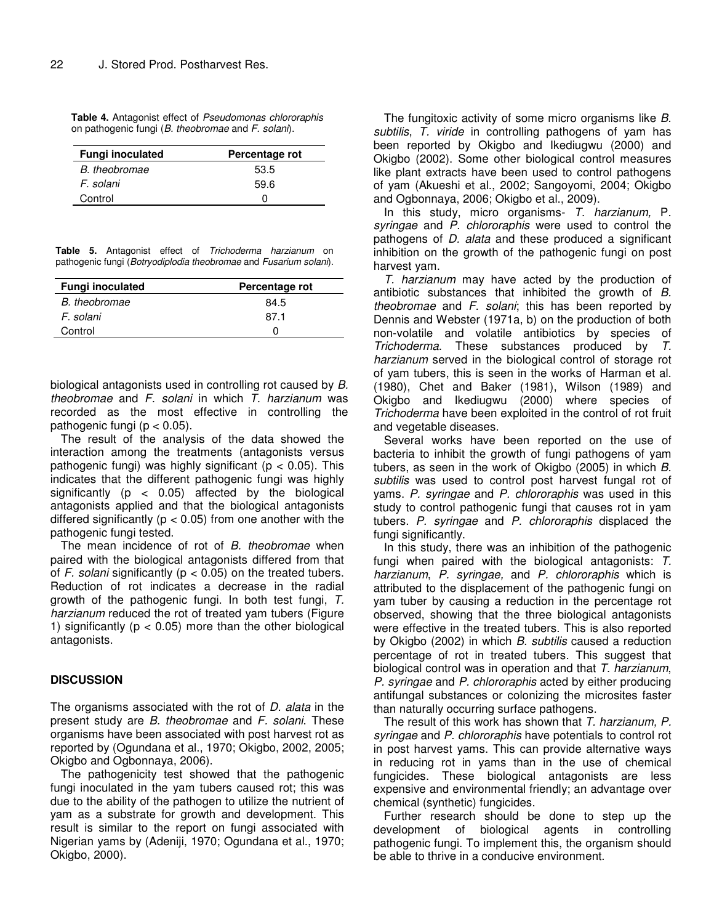**Table 4.** Antagonist effect of *Pseudomonas chlororaphis* on pathogenic fungi (*B. theobromae* and *F. solani*).

| <b>Fungi inoculated</b> | Percentage rot |  |
|-------------------------|----------------|--|
| B. theobromae           | 53.5           |  |
| F. solani               | 59.6           |  |
| Control                 | O              |  |

|  |  | <b>Table 5.</b> Antagonist effect of Trichoderma harzianum on     |  |
|--|--|-------------------------------------------------------------------|--|
|  |  | pathogenic fungi (Botryodiplodia theobromae and Fusarium solani). |  |

| <b>Fungi inoculated</b> | Percentage rot |  |
|-------------------------|----------------|--|
| B. theobromae           | 84.5           |  |
| F. solani               | 87.1           |  |
| Control                 |                |  |

biological antagonists used in controlling rot caused by *B. theobromae* and *F. solani* in which *T. harzianum* was recorded as the most effective in controlling the pathogenic fungi ( $p < 0.05$ ).

The result of the analysis of the data showed the interaction among the treatments (antagonists versus pathogenic fungi) was highly significant ( $p < 0.05$ ). This indicates that the different pathogenic fungi was highly significantly ( $p < 0.05$ ) affected by the biological antagonists applied and that the biological antagonists differed significantly ( $p < 0.05$ ) from one another with the pathogenic fungi tested.

The mean incidence of rot of *B. theobromae* when paired with the biological antagonists differed from that of  $F$ . *solani* significantly ( $p < 0.05$ ) on the treated tubers. Reduction of rot indicates a decrease in the radial growth of the pathogenic fungi. In both test fungi, *T. harzianum* reduced the rot of treated yam tubers (Figure 1) significantly ( $p < 0.05$ ) more than the other biological antagonists.

## **DISCUSSION**

The organisms associated with the rot of *D. alata* in the present study are *B. theobromae* and *F. solani*. These organisms have been associated with post harvest rot as reported by (Ogundana et al., 1970; Okigbo, 2002, 2005; Okigbo and Ogbonnaya, 2006).

The pathogenicity test showed that the pathogenic fungi inoculated in the yam tubers caused rot; this was due to the ability of the pathogen to utilize the nutrient of yam as a substrate for growth and development. This result is similar to the report on fungi associated with Nigerian yams by (Adeniji, 1970; Ogundana et al., 1970; Okigbo, 2000).

The fungitoxic activity of some micro organisms like *B. subtilis*, *T. viride* in controlling pathogens of yam has been reported by Okigbo and Ikediugwu (2000) and Okigbo (2002). Some other biological control measures like plant extracts have been used to control pathogens of yam (Akueshi et al., 2002; Sangoyomi, 2004; Okigbo and Ogbonnaya, 2006; Okigbo et al., 2009).

In this study, micro organisms- *T. harzianum,* P*. syringae* and *P. chlororaphis* were used to control the pathogens of *D. alata* and these produced a significant inhibition on the growth of the pathogenic fungi on post harvest yam.

*T. harzianum* may have acted by the production of antibiotic substances that inhibited the growth of *B. theobromae* and *F. solani*; this has been reported by Dennis and Webster (1971a, b) on the production of both non-volatile and volatile antibiotics by species of *Trichoderma*. These substances produced by *T. harzianum* served in the biological control of storage rot of yam tubers, this is seen in the works of Harman et al. (1980), Chet and Baker (1981), Wilson (1989) and Okigbo and Ikediugwu (2000) where species of *Trichoderma* have been exploited in the control of rot fruit and vegetable diseases.

Several works have been reported on the use of bacteria to inhibit the growth of fungi pathogens of yam tubers, as seen in the work of Okigbo (2005) in which *B. subtilis* was used to control post harvest fungal rot of yams. *P. syringae* and *P. chlororaphis* was used in this study to control pathogenic fungi that causes rot in yam tubers. *P. syringae* and *P. chlororaphis* displaced the fungi significantly.

In this study, there was an inhibition of the pathogenic fungi when paired with the biological antagonists: *T. harzianum*, *P. syringae,* and *P. chlororaphis* which is attributed to the displacement of the pathogenic fungi on yam tuber by causing a reduction in the percentage rot observed, showing that the three biological antagonists were effective in the treated tubers. This is also reported by Okigbo (2002) in which *B. subtilis* caused a reduction percentage of rot in treated tubers. This suggest that biological control was in operation and that *T. harzianum*, *P. syringae* and *P. chlororaphis* acted by either producing antifungal substances or colonizing the microsites faster than naturally occurring surface pathogens.

The result of this work has shown that *T. harzianum, P. syringae* and *P. chlororaphis* have potentials to control rot in post harvest yams. This can provide alternative ways in reducing rot in yams than in the use of chemical fungicides. These biological antagonists are less expensive and environmental friendly; an advantage over chemical (synthetic) fungicides.

Further research should be done to step up the development of biological agents in controlling pathogenic fungi. To implement this, the organism should be able to thrive in a conducive environment.